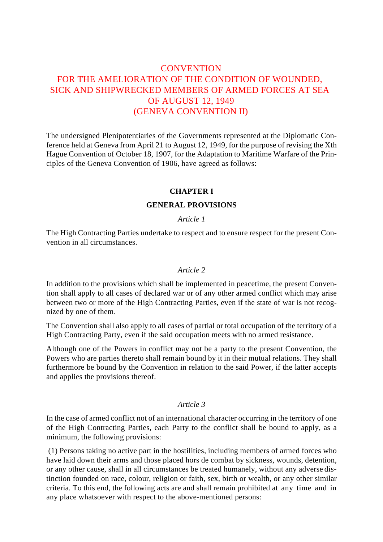# **CONVENTION** FOR THE AMELIORATION OF THE CONDITION OF WOUNDED, SICK AND SHIPWRECKED MEMBERS OF ARMED FORCES AT SEA OF AUGUST 12, 1949 (GENEVA CONVENTION II)

The undersigned Plenipotentiaries of the Governments represented at the Diplomatic Conference held at Geneva from April 21 to August 12, 1949, for the purpose of revising the Xth Hague Convention of October 18, 1907, for the Adaptation to Maritime Warfare of the Principles of the Geneva Convention of 1906, have agreed as follows:

### **CHAPTER I**

# **GENERAL PROVISIONS**

*Article 1*

The High Contracting Parties undertake to respect and to ensure respect for the present Convention in all circumstances.

### *Article 2*

In addition to the provisions which shall be implemented in peacetime, the present Convention shall apply to all cases of declared war or of any other armed conflict which may arise between two or more of the High Contracting Parties, even if the state of war is not recognized by one of them.

The Convention shall also apply to all cases of partial or total occupation of the territory of a High Contracting Party, even if the said occupation meets with no armed resistance.

Although one of the Powers in conflict may not be a party to the present Convention, the Powers who are parties thereto shall remain bound by it in their mutual relations. They shall furthermore be bound by the Convention in relation to the said Power, if the latter accepts and applies the provisions thereof.

### *Article 3*

In the case of armed conflict not of an international character occurring in the territory of one of the High Contracting Parties, each Party to the conflict shall be bound to apply, as a minimum, the following provisions:

 (1) Persons taking no active part in the hostilities, including members of armed forces who have laid down their arms and those placed hors de combat by sickness, wounds, detention, or any other cause, shall in all circumstances be treated humanely, without any adverse distinction founded on race, colour, religion or faith, sex, birth or wealth, or any other similar criteria. To this end, the following acts are and shall remain prohibited at any time and in any place whatsoever with respect to the above-mentioned persons: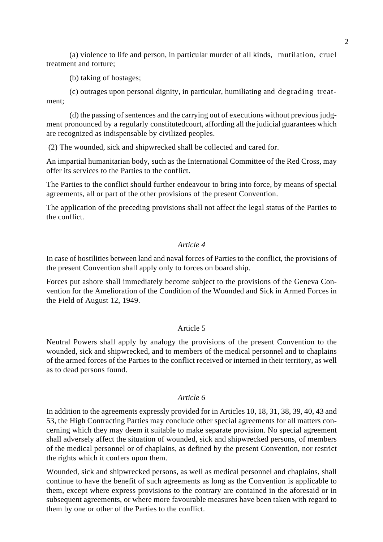(a) violence to life and person, in particular murder of all kinds, mutilation, cruel treatment and torture;

(b) taking of hostages;

(c) outrages upon personal dignity, in particular, humiliating and degrading treatment;

(d) the passing of sentences and the carrying out of executions without previous judgment pronounced by a regularly constitutedcourt, affording all the judicial guarantees which are recognized as indispensable by civilized peoples.

(2) The wounded, sick and shipwrecked shall be collected and cared for.

An impartial humanitarian body, such as the International Committee of the Red Cross, may offer its services to the Parties to the conflict.

The Parties to the conflict should further endeavour to bring into force, by means of special agreements, all or part of the other provisions of the present Convention.

The application of the preceding provisions shall not affect the legal status of the Parties to the conflict.

# *Article 4*

In case of hostilities between land and naval forces of Parties to the conflict, the provisions of the present Convention shall apply only to forces on board ship.

Forces put ashore shall immediately become subject to the provisions of the Geneva Convention for the Amelioration of the Condition of the Wounded and Sick in Armed Forces in the Field of August 12, 1949.

# Article 5

Neutral Powers shall apply by analogy the provisions of the present Convention to the wounded, sick and shipwrecked, and to members of the medical personnel and to chaplains of the armed forces of the Parties to the conflict received or interned in their territory, as well as to dead persons found.

# *Article 6*

In addition to the agreements expressly provided for in Articles 10, 18, 31, 38, 39, 40, 43 and 53, the High Contracting Parties may conclude other special agreements for all matters concerning which they may deem it suitable to make separate provision. No special agreement shall adversely affect the situation of wounded, sick and shipwrecked persons, of members of the medical personnel or of chaplains, as defined by the present Convention, nor restrict the rights which it confers upon them.

Wounded, sick and shipwrecked persons, as well as medical personnel and chaplains, shall continue to have the benefit of such agreements as long as the Convention is applicable to them, except where express provisions to the contrary are contained in the aforesaid or in subsequent agreements, or where more favourable measures have been taken with regard to them by one or other of the Parties to the conflict.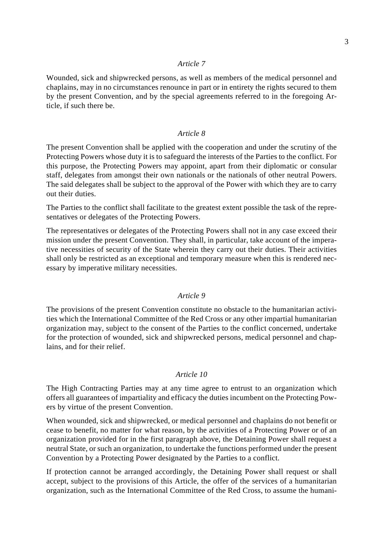# 3

#### *Article 7*

Wounded, sick and shipwrecked persons, as well as members of the medical personnel and chaplains, may in no circumstances renounce in part or in entirety the rights secured to them by the present Convention, and by the special agreements referred to in the foregoing Article, if such there be.

# *Article 8*

The present Convention shall be applied with the cooperation and under the scrutiny of the Protecting Powers whose duty it is to safeguard the interests of the Parties to the conflict. For this purpose, the Protecting Powers may appoint, apart from their diplomatic or consular staff, delegates from amongst their own nationals or the nationals of other neutral Powers. The said delegates shall be subject to the approval of the Power with which they are to carry out their duties.

The Parties to the conflict shall facilitate to the greatest extent possible the task of the representatives or delegates of the Protecting Powers.

The representatives or delegates of the Protecting Powers shall not in any case exceed their mission under the present Convention. They shall, in particular, take account of the imperative necessities of security of the State wherein they carry out their duties. Their activities shall only be restricted as an exceptional and temporary measure when this is rendered necessary by imperative military necessities.

# *Article 9*

The provisions of the present Convention constitute no obstacle to the humanitarian activities which the International Committee of the Red Cross or any other impartial humanitarian organization may, subject to the consent of the Parties to the conflict concerned, undertake for the protection of wounded, sick and shipwrecked persons, medical personnel and chaplains, and for their relief.

### *Article 10*

The High Contracting Parties may at any time agree to entrust to an organization which offers all guarantees of impartiality and efficacy the duties incumbent on the Protecting Powers by virtue of the present Convention.

When wounded, sick and shipwrecked, or medical personnel and chaplains do not benefit or cease to benefit, no matter for what reason, by the activities of a Protecting Power or of an organization provided for in the first paragraph above, the Detaining Power shall request a neutral State, or such an organization, to undertake the functions performed under the present Convention by a Protecting Power designated by the Parties to a conflict.

If protection cannot be arranged accordingly, the Detaining Power shall request or shall accept, subject to the provisions of this Article, the offer of the services of a humanitarian organization, such as the International Committee of the Red Cross, to assume the humani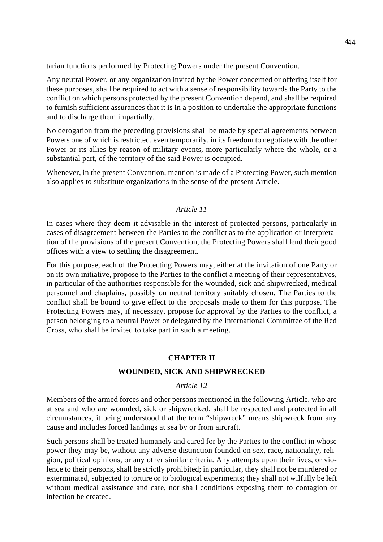tarian functions performed by Protecting Powers under the present Convention.

Any neutral Power, or any organization invited by the Power concerned or offering itself for these purposes, shall be required to act with a sense of responsibility towards the Party to the conflict on which persons protected by the present Convention depend, and shall be required to furnish sufficient assurances that it is in a position to undertake the appropriate functions and to discharge them impartially.

No derogation from the preceding provisions shall be made by special agreements between Powers one of which is restricted, even temporarily, in its freedom to negotiate with the other Power or its allies by reason of military events, more particularly where the whole, or a substantial part, of the territory of the said Power is occupied.

Whenever, in the present Convention, mention is made of a Protecting Power, such mention also applies to substitute organizations in the sense of the present Article.

### *Article 11*

In cases where they deem it advisable in the interest of protected persons, particularly in cases of disagreement between the Parties to the conflict as to the application or interpretation of the provisions of the present Convention, the Protecting Powers shall lend their good offices with a view to settling the disagreement.

For this purpose, each of the Protecting Powers may, either at the invitation of one Party or on its own initiative, propose to the Parties to the conflict a meeting of their representatives, in particular of the authorities responsible for the wounded, sick and shipwrecked, medical personnel and chaplains, possibly on neutral territory suitably chosen. The Parties to the conflict shall be bound to give effect to the proposals made to them for this purpose. The Protecting Powers may, if necessary, propose for approval by the Parties to the conflict, a person belonging to a neutral Power or delegated by the International Committee of the Red Cross, who shall be invited to take part in such a meeting.

# **CHAPTER II**

# **WOUNDED, SICK AND SHIPWRECKED**

# *Article 12*

Members of the armed forces and other persons mentioned in the following Article, who are at sea and who are wounded, sick or shipwrecked, shall be respected and protected in all circumstances, it being understood that the term "shipwreck" means shipwreck from any cause and includes forced landings at sea by or from aircraft.

Such persons shall be treated humanely and cared for by the Parties to the conflict in whose power they may be, without any adverse distinction founded on sex, race, nationality, religion, political opinions, or any other similar criteria. Any attempts upon their lives, or violence to their persons, shall be strictly prohibited; in particular, they shall not be murdered or exterminated, subjected to torture or to biological experiments; they shall not wilfully be left without medical assistance and care, nor shall conditions exposing them to contagion or infection be created.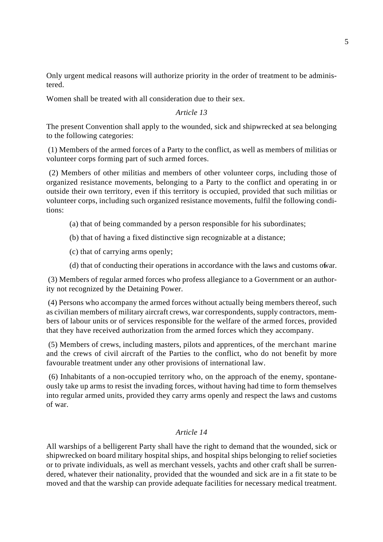Only urgent medical reasons will authorize priority in the order of treatment to be administered.

Women shall be treated with all consideration due to their sex.

*Article 13*

The present Convention shall apply to the wounded, sick and shipwrecked at sea belonging to the following categories:

 (1) Members of the armed forces of a Party to the conflict, as well as members of militias or volunteer corps forming part of such armed forces.

 (2) Members of other militias and members of other volunteer corps, including those of organized resistance movements, belonging to a Party to the conflict and operating in or outside their own territory, even if this territory is occupied, provided that such militias or volunteer corps, including such organized resistance movements, fulfil the following conditions:

- (a) that of being commanded by a person responsible for his subordinates;
- (b) that of having a fixed distinctive sign recognizable at a distance;
- (c) that of carrying arms openly;
- $(d)$  that of conducting their operations in accordance with the laws and customs of war.

 (3) Members of regular armed forces who profess allegiance to a Government or an authority not recognized by the Detaining Power.

 (4) Persons who accompany the armed forces without actually being members thereof, such as civilian members of military aircraft crews, war correspondents, supply contractors, members of labour units or of services responsible for the welfare of the armed forces, provided that they have received authorization from the armed forces which they accompany.

 (5) Members of crews, including masters, pilots and apprentices, of the merchant marine and the crews of civil aircraft of the Parties to the conflict, who do not benefit by more favourable treatment under any other provisions of international law.

 (6) Inhabitants of a non-occupied territory who, on the approach of the enemy, spontaneously take up arms to resist the invading forces, without having had time to form themselves into regular armed units, provided they carry arms openly and respect the laws and customs of war.

# *Article 14*

All warships of a belligerent Party shall have the right to demand that the wounded, sick or shipwrecked on board military hospital ships, and hospital ships belonging to relief societies or to private individuals, as well as merchant vessels, yachts and other craft shall be surrendered, whatever their nationality, provided that the wounded and sick are in a fit state to be moved and that the warship can provide adequate facilities for necessary medical treatment.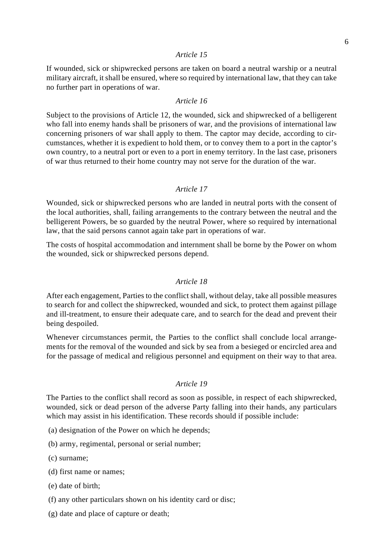If wounded, sick or shipwrecked persons are taken on board a neutral warship or a neutral military aircraft, it shall be ensured, where so required by international law, that they can take no further part in operations of war.

#### *Article 16*

Subject to the provisions of Article 12, the wounded, sick and shipwrecked of a belligerent who fall into enemy hands shall be prisoners of war, and the provisions of international law concerning prisoners of war shall apply to them. The captor may decide, according to circumstances, whether it is expedient to hold them, or to convey them to a port in the captor's own country, to a neutral port or even to a port in enemy territory. In the last case, prisoners of war thus returned to their home country may not serve for the duration of the war.

# *Article 17*

Wounded, sick or shipwrecked persons who are landed in neutral ports with the consent of the local authorities, shall, failing arrangements to the contrary between the neutral and the belligerent Powers, be so guarded by the neutral Power, where so required by international law, that the said persons cannot again take part in operations of war.

The costs of hospital accommodation and internment shall be borne by the Power on whom the wounded, sick or shipwrecked persons depend.

#### *Article 18*

After each engagement, Parties to the conflict shall, without delay, take all possible measures to search for and collect the shipwrecked, wounded and sick, to protect them against pillage and ill-treatment, to ensure their adequate care, and to search for the dead and prevent their being despoiled.

Whenever circumstances permit, the Parties to the conflict shall conclude local arrangements for the removal of the wounded and sick by sea from a besieged or encircled area and for the passage of medical and religious personnel and equipment on their way to that area.

### *Article 19*

The Parties to the conflict shall record as soon as possible, in respect of each shipwrecked, wounded, sick or dead person of the adverse Party falling into their hands, any particulars which may assist in his identification. These records should if possible include:

- (a) designation of the Power on which he depends;
- (b) army, regimental, personal or serial number;
- (c) surname;
- (d) first name or names;
- (e) date of birth;
- (f) any other particulars shown on his identity card or disc;
- (g) date and place of capture or death;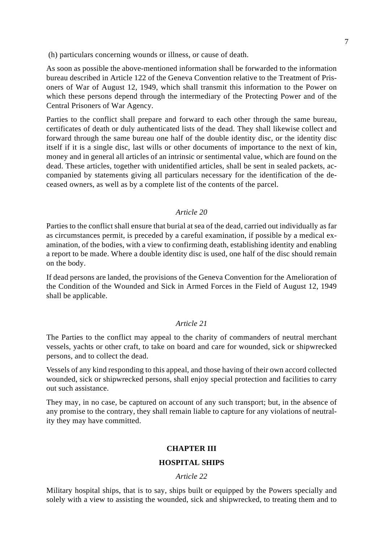(h) particulars concerning wounds or illness, or cause of death.

As soon as possible the above-mentioned information shall be forwarded to the information bureau described in Article 122 of the Geneva Convention relative to the Treatment of Prisoners of War of August 12, 1949, which shall transmit this information to the Power on which these persons depend through the intermediary of the Protecting Power and of the Central Prisoners of War Agency.

Parties to the conflict shall prepare and forward to each other through the same bureau, certificates of death or duly authenticated lists of the dead. They shall likewise collect and forward through the same bureau one half of the double identity disc, or the identity disc itself if it is a single disc, last wills or other documents of importance to the next of kin, money and in general all articles of an intrinsic or sentimental value, which are found on the dead. These articles, together with unidentified articles, shall be sent in sealed packets, accompanied by statements giving all particulars necessary for the identification of the deceased owners, as well as by a complete list of the contents of the parcel.

#### *Article 20*

Parties to the conflict shall ensure that burial at sea of the dead, carried out individually as far as circumstances permit, is preceded by a careful examination, if possible by a medical examination, of the bodies, with a view to confirming death, establishing identity and enabling a report to be made. Where a double identity disc is used, one half of the disc should remain on the body.

If dead persons are landed, the provisions of the Geneva Convention for the Amelioration of the Condition of the Wounded and Sick in Armed Forces in the Field of August 12, 1949 shall be applicable.

# *Article 21*

The Parties to the conflict may appeal to the charity of commanders of neutral merchant vessels, yachts or other craft, to take on board and care for wounded, sick or shipwrecked persons, and to collect the dead.

Vessels of any kind responding to this appeal, and those having of their own accord collected wounded, sick or shipwrecked persons, shall enjoy special protection and facilities to carry out such assistance.

They may, in no case, be captured on account of any such transport; but, in the absence of any promise to the contrary, they shall remain liable to capture for any violations of neutrality they may have committed.

### **CHAPTER III**

# **HOSPITAL SHIPS**

#### *Article 22*

Military hospital ships, that is to say, ships built or equipped by the Powers specially and solely with a view to assisting the wounded, sick and shipwrecked, to treating them and to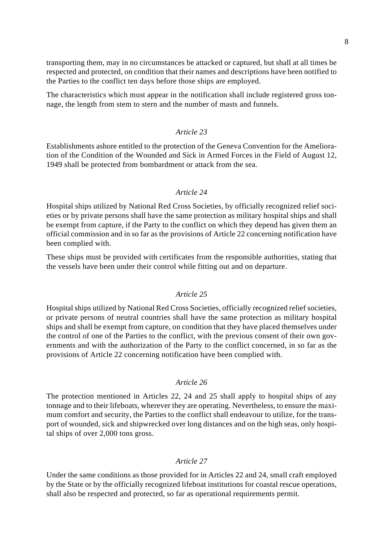transporting them, may in no circumstances be attacked or captured, but shall at all times be respected and protected, on condition that their names and descriptions have been notified to the Parties to the conflict ten days before those ships are employed.

The characteristics which must appear in the notification shall include registered gross tonnage, the length from stem to stern and the number of masts and funnels.

# *Article 23*

Establishments ashore entitled to the protection of the Geneva Convention for the Amelioration of the Condition of the Wounded and Sick in Armed Forces in the Field of August 12, 1949 shall be protected from bombardment or attack from the sea.

# *Article 24*

Hospital ships utilized by National Red Cross Societies, by officially recognized relief societies or by private persons shall have the same protection as military hospital ships and shall be exempt from capture, if the Party to the conflict on which they depend has given them an official commission and in so far as the provisions of Article 22 concerning notification have been complied with.

These ships must be provided with certificates from the responsible authorities, stating that the vessels have been under their control while fitting out and on departure.

### *Article 25*

Hospital ships utilized by National Red Cross Societies, officially recognized relief societies, or private persons of neutral countries shall have the same protection as military hospital ships and shall be exempt from capture, on condition that they have placed themselves under the control of one of the Parties to the conflict, with the previous consent of their own governments and with the authorization of the Party to the conflict concerned, in so far as the provisions of Article 22 concerning notification have been complied with.

#### *Article 26*

The protection mentioned in Articles 22, 24 and 25 shall apply to hospital ships of any tonnage and to their lifeboats, wherever they are operating. Nevertheless, to ensure the maximum comfort and security, the Parties to the conflict shall endeavour to utilize, for the transport of wounded, sick and shipwrecked over long distances and on the high seas, only hospital ships of over 2,000 tons gross.

### *Article 27*

Under the same conditions as those provided for in Articles 22 and 24, small craft employed by the State or by the officially recognized lifeboat institutions for coastal rescue operations, shall also be respected and protected, so far as operational requirements permit.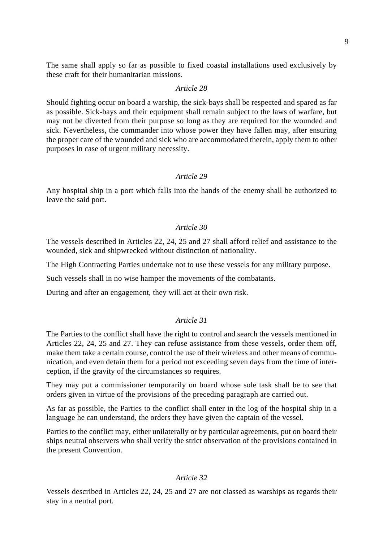The same shall apply so far as possible to fixed coastal installations used exclusively by these craft for their humanitarian missions.

#### *Article 28*

Should fighting occur on board a warship, the sick-bays shall be respected and spared as far as possible. Sick-bays and their equipment shall remain subject to the laws of warfare, but may not be diverted from their purpose so long as they are required for the wounded and sick. Nevertheless, the commander into whose power they have fallen may, after ensuring the proper care of the wounded and sick who are accommodated therein, apply them to other purposes in case of urgent military necessity.

# *Article 29*

Any hospital ship in a port which falls into the hands of the enemy shall be authorized to leave the said port.

#### *Article 30*

The vessels described in Articles 22, 24, 25 and 27 shall afford relief and assistance to the wounded, sick and shipwrecked without distinction of nationality.

The High Contracting Parties undertake not to use these vessels for any military purpose.

Such vessels shall in no wise hamper the movements of the combatants.

During and after an engagement, they will act at their own risk.

# *Article 31*

The Parties to the conflict shall have the right to control and search the vessels mentioned in Articles 22, 24, 25 and 27. They can refuse assistance from these vessels, order them off, make them take a certain course, control the use of their wireless and other means of communication, and even detain them for a period not exceeding seven days from the time of interception, if the gravity of the circumstances so requires.

They may put a commissioner temporarily on board whose sole task shall be to see that orders given in virtue of the provisions of the preceding paragraph are carried out.

As far as possible, the Parties to the conflict shall enter in the log of the hospital ship in a language he can understand, the orders they have given the captain of the vessel.

Parties to the conflict may, either unilaterally or by particular agreements, put on board their ships neutral observers who shall verify the strict observation of the provisions contained in the present Convention.

### *Article 32*

Vessels described in Articles 22, 24, 25 and 27 are not classed as warships as regards their stay in a neutral port.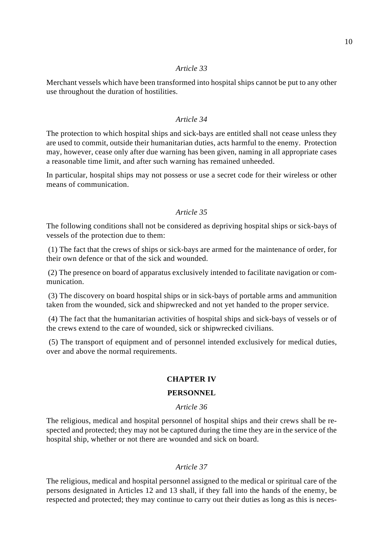Merchant vessels which have been transformed into hospital ships cannot be put to any other use throughout the duration of hostilities.

### *Article 34*

The protection to which hospital ships and sick-bays are entitled shall not cease unless they are used to commit, outside their humanitarian duties, acts harmful to the enemy. Protection may, however, cease only after due warning has been given, naming in all appropriate cases a reasonable time limit, and after such warning has remained unheeded.

In particular, hospital ships may not possess or use a secret code for their wireless or other means of communication.

# *Article 35*

The following conditions shall not be considered as depriving hospital ships or sick-bays of vessels of the protection due to them:

 (1) The fact that the crews of ships or sick-bays are armed for the maintenance of order, for their own defence or that of the sick and wounded.

 (2) The presence on board of apparatus exclusively intended to facilitate navigation or communication.

 (3) The discovery on board hospital ships or in sick-bays of portable arms and ammunition taken from the wounded, sick and shipwrecked and not yet handed to the proper service.

 (4) The fact that the humanitarian activities of hospital ships and sick-bays of vessels or of the crews extend to the care of wounded, sick or shipwrecked civilians.

 (5) The transport of equipment and of personnel intended exclusively for medical duties, over and above the normal requirements.

### **CHAPTER IV**

#### **PERSONNEL**

### *Article 36*

The religious, medical and hospital personnel of hospital ships and their crews shall be respected and protected; they may not be captured during the time they are in the service of the hospital ship, whether or not there are wounded and sick on board.

### *Article 37*

The religious, medical and hospital personnel assigned to the medical or spiritual care of the persons designated in Articles 12 and 13 shall, if they fall into the hands of the enemy, be respected and protected; they may continue to carry out their duties as long as this is neces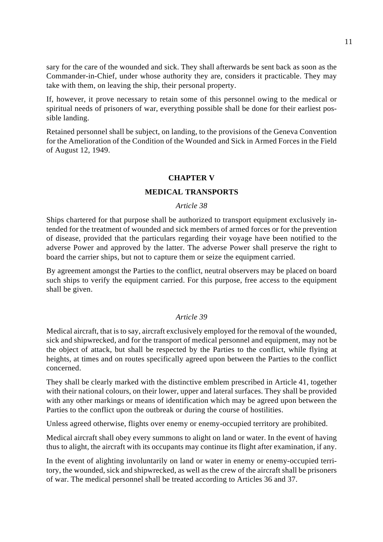sary for the care of the wounded and sick. They shall afterwards be sent back as soon as the Commander-in-Chief, under whose authority they are, considers it practicable. They may take with them, on leaving the ship, their personal property.

If, however, it prove necessary to retain some of this personnel owing to the medical or spiritual needs of prisoners of war, everything possible shall be done for their earliest possible landing.

Retained personnel shall be subject, on landing, to the provisions of the Geneva Convention for the Amelioration of the Condition of the Wounded and Sick in Armed Forces in the Field of August 12, 1949.

# **CHAPTER V**

# **MEDICAL TRANSPORTS**

# *Article 38*

Ships chartered for that purpose shall be authorized to transport equipment exclusively intended for the treatment of wounded and sick members of armed forces or for the prevention of disease, provided that the particulars regarding their voyage have been notified to the adverse Power and approved by the latter. The adverse Power shall preserve the right to board the carrier ships, but not to capture them or seize the equipment carried.

By agreement amongst the Parties to the conflict, neutral observers may be placed on board such ships to verify the equipment carried. For this purpose, free access to the equipment shall be given.

# *Article 39*

Medical aircraft, that is to say, aircraft exclusively employed for the removal of the wounded, sick and shipwrecked, and for the transport of medical personnel and equipment, may not be the object of attack, but shall be respected by the Parties to the conflict, while flying at heights, at times and on routes specifically agreed upon between the Parties to the conflict concerned.

They shall be clearly marked with the distinctive emblem prescribed in Article 41, together with their national colours, on their lower, upper and lateral surfaces. They shall be provided with any other markings or means of identification which may be agreed upon between the Parties to the conflict upon the outbreak or during the course of hostilities.

Unless agreed otherwise, flights over enemy or enemy-occupied territory are prohibited.

Medical aircraft shall obey every summons to alight on land or water. In the event of having thus to alight, the aircraft with its occupants may continue its flight after examination, if any.

In the event of alighting involuntarily on land or water in enemy or enemy-occupied territory, the wounded, sick and shipwrecked, as well as the crew of the aircraft shall be prisoners of war. The medical personnel shall be treated according to Articles 36 and 37.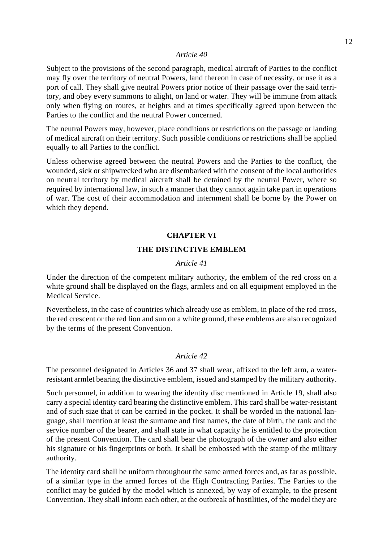Subject to the provisions of the second paragraph, medical aircraft of Parties to the conflict may fly over the territory of neutral Powers, land thereon in case of necessity, or use it as a port of call. They shall give neutral Powers prior notice of their passage over the said territory, and obey every summons to alight, on land or water. They will be immune from attack only when flying on routes, at heights and at times specifically agreed upon between the Parties to the conflict and the neutral Power concerned.

The neutral Powers may, however, place conditions or restrictions on the passage or landing of medical aircraft on their territory. Such possible conditions or restrictions shall be applied equally to all Parties to the conflict.

Unless otherwise agreed between the neutral Powers and the Parties to the conflict, the wounded, sick or shipwrecked who are disembarked with the consent of the local authorities on neutral territory by medical aircraft shall be detained by the neutral Power, where so required by international law, in such a manner that they cannot again take part in operations of war. The cost of their accommodation and internment shall be borne by the Power on which they depend.

#### **CHAPTER VI**

### **THE DISTINCTIVE EMBLEM**

#### *Article 41*

Under the direction of the competent military authority, the emblem of the red cross on a white ground shall be displayed on the flags, armlets and on all equipment employed in the Medical Service.

Nevertheless, in the case of countries which already use as emblem, in place of the red cross, the red crescent or the red lion and sun on a white ground, these emblems are also recognized by the terms of the present Convention.

### *Article 42*

The personnel designated in Articles 36 and 37 shall wear, affixed to the left arm, a waterresistant armlet bearing the distinctive emblem, issued and stamped by the military authority.

Such personnel, in addition to wearing the identity disc mentioned in Article 19, shall also carry a special identity card bearing the distinctive emblem. This card shall be water-resistant and of such size that it can be carried in the pocket. It shall be worded in the national language, shall mention at least the surname and first names, the date of birth, the rank and the service number of the bearer, and shall state in what capacity he is entitled to the protection of the present Convention. The card shall bear the photograph of the owner and also either his signature or his fingerprints or both. It shall be embossed with the stamp of the military authority.

The identity card shall be uniform throughout the same armed forces and, as far as possible, of a similar type in the armed forces of the High Contracting Parties. The Parties to the conflict may be guided by the model which is annexed, by way of example, to the present Convention. They shall inform each other, at the outbreak of hostilities, of the model they are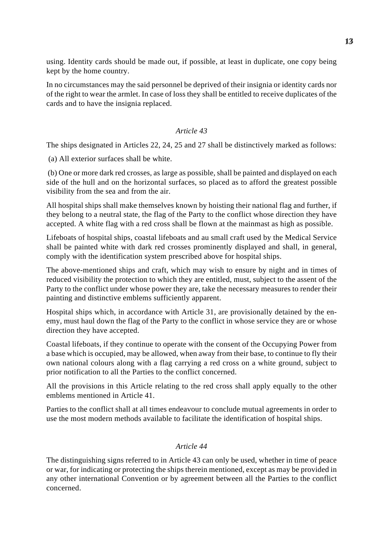using. Identity cards should be made out, if possible, at least in duplicate, one copy being kept by the home country.

In no circumstances may the said personnel be deprived of their insignia or identity cards nor of the right to wear the armlet. In case of loss they shall be entitled to receive duplicates of the cards and to have the insignia replaced.

# *Article 43*

The ships designated in Articles 22, 24, 25 and 27 shall be distinctively marked as follows:

(a) All exterior surfaces shall be white.

 (b) One or more dark red crosses, as large as possible, shall be painted and displayed on each side of the hull and on the horizontal surfaces, so placed as to afford the greatest possible visibility from the sea and from the air.

All hospital ships shall make themselves known by hoisting their national flag and further, if they belong to a neutral state, the flag of the Party to the conflict whose direction they have accepted. A white flag with a red cross shall be flown at the mainmast as high as possible.

Lifeboats of hospital ships, coastal lifeboats and au small craft used by the Medical Service shall be painted white with dark red crosses prominently displayed and shall, in general, comply with the identification system prescribed above for hospital ships.

The above-mentioned ships and craft, which may wish to ensure by night and in times of reduced visibility the protection to which they are entitled, must, subject to the assent of the Party to the conflict under whose power they are, take the necessary measures to render their painting and distinctive emblems sufficiently apparent.

Hospital ships which, in accordance with Article 31, are provisionally detained by the enemy, must haul down the flag of the Party to the conflict in whose service they are or whose direction they have accepted.

Coastal lifeboats, if they continue to operate with the consent of the Occupying Power from a base which is occupied, may be allowed, when away from their base, to continue to fly their own national colours along with a flag carrying a red cross on a white ground, subject to prior notification to all the Parties to the conflict concerned.

All the provisions in this Article relating to the red cross shall apply equally to the other emblems mentioned in Article 41.

Parties to the conflict shall at all times endeavour to conclude mutual agreements in order to use the most modern methods available to facilitate the identification of hospital ships.

# *Article 44*

The distinguishing signs referred to in Article 43 can only be used, whether in time of peace or war, for indicating or protecting the ships therein mentioned, except as may be provided in any other international Convention or by agreement between all the Parties to the conflict concerned.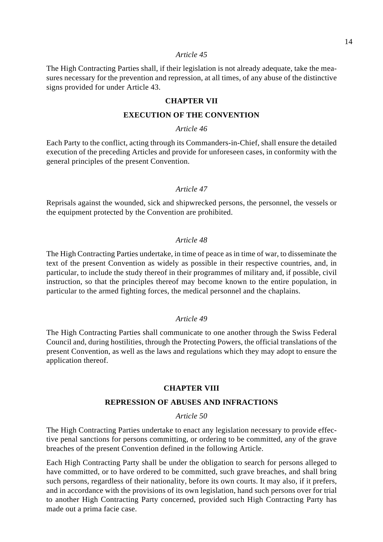The High Contracting Parties shall, if their legislation is not already adequate, take the measures necessary for the prevention and repression, at all times, of any abuse of the distinctive signs provided for under Article 43.

### **CHAPTER VII**

### **EXECUTION OF THE CONVENTION**

#### *Article 46*

Each Party to the conflict, acting through its Commanders-in-Chief, shall ensure the detailed execution of the preceding Articles and provide for unforeseen cases, in conformity with the general principles of the present Convention.

### *Article 47*

Reprisals against the wounded, sick and shipwrecked persons, the personnel, the vessels or the equipment protected by the Convention are prohibited.

#### *Article 48*

The High Contracting Parties undertake, in time of peace as in time of war, to disseminate the text of the present Convention as widely as possible in their respective countries, and, in particular, to include the study thereof in their programmes of military and, if possible, civil instruction, so that the principles thereof may become known to the entire population, in particular to the armed fighting forces, the medical personnel and the chaplains.

#### *Article 49*

The High Contracting Parties shall communicate to one another through the Swiss Federal Council and, during hostilities, through the Protecting Powers, the official translations of the present Convention, as well as the laws and regulations which they may adopt to ensure the application thereof.

#### **CHAPTER VIII**

#### **REPRESSION OF ABUSES AND INFRACTIONS**

### *Article 50*

The High Contracting Parties undertake to enact any legislation necessary to provide effective penal sanctions for persons committing, or ordering to be committed, any of the grave breaches of the present Convention defined in the following Article.

Each High Contracting Party shall be under the obligation to search for persons alleged to have committed, or to have ordered to be committed, such grave breaches, and shall bring such persons, regardless of their nationality, before its own courts. It may also, if it prefers, and in accordance with the provisions of its own legislation, hand such persons over for trial to another High Contracting Party concerned, provided such High Contracting Party has made out a prima facie case.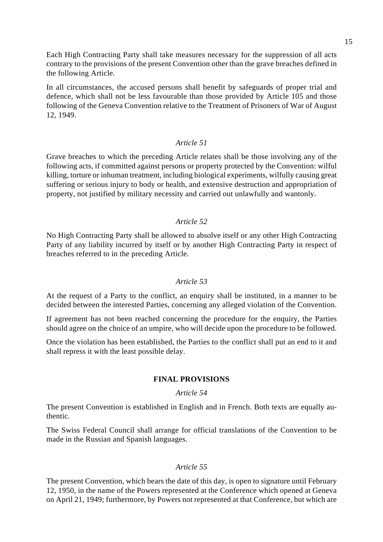Each High Contracting Party shall take measures necessary for the suppression of all acts contrary to the provisions of the present Convention other than the grave breaches defined in the following Article.

In all circumstances, the accused persons shall benefit by safeguards of proper trial and defence, which shall not be less favourable than those provided by Article 105 and those following of the Geneva Convention relative to the Treatment of Prisoners of War of August 12, 1949.

### *Article 51*

Grave breaches to which the preceding Article relates shall be those involving any of the following acts, if committed against persons or property protected by the Convention: wilful killing, torture or inhuman treatment, including biological experiments, wilfully causing great suffering or serious injury to body or health, and extensive destruction and appropriation of property, not justified by military necessity and carried out unlawfully and wantonly.

# *Article 52*

No High Contracting Party shall be allowed to absolve itself or any other High Contracting Party of any liability incurred by itself or by another High Contracting Party in respect of breaches referred to in the preceding Article.

### *Article 53*

At the request of a Party to the conflict, an enquiry shall be instituted, in a manner to be decided between the interested Parties, concerning any alleged violation of the Convention.

If agreement has not been reached concerning the procedure for the enquiry, the Parties should agree on the choice of an umpire, who will decide upon the procedure to be followed.

Once the violation has been established, the Parties to the conflict shall put an end to it and shall repress it with the least possible delay.

### **FINAL PROVISIONS**

# *Article 54*

The present Convention is established in English and in French. Both texts are equally authentic.

The Swiss Federal Council shall arrange for official translations of the Convention to be made in the Russian and Spanish languages.

### *Article 55*

The present Convention, which bears the date of this day, is open to signature until February 12, 1950, in the name of the Powers represented at the Conference which opened at Geneva on April 21, 1949; furthermore, by Powers not represented at that Conference, but which are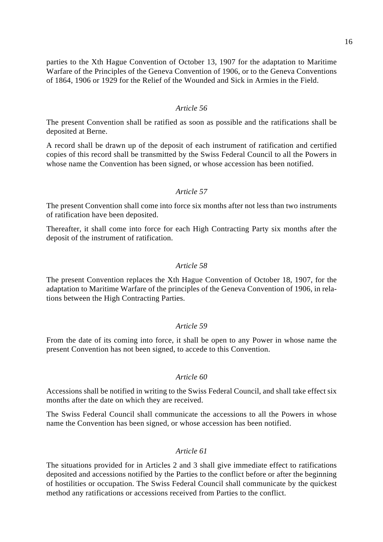parties to the Xth Hague Convention of October 13, 1907 for the adaptation to Maritime Warfare of the Principles of the Geneva Convention of 1906, or to the Geneva Conventions of 1864, 1906 or 1929 for the Relief of the Wounded and Sick in Armies in the Field.

### *Article 56*

The present Convention shall be ratified as soon as possible and the ratifications shall be deposited at Berne.

A record shall be drawn up of the deposit of each instrument of ratification and certified copies of this record shall be transmitted by the Swiss Federal Council to all the Powers in whose name the Convention has been signed, or whose accession has been notified.

# *Article 57*

The present Convention shall come into force six months after not less than two instruments of ratification have been deposited.

Thereafter, it shall come into force for each High Contracting Party six months after the deposit of the instrument of ratification.

# *Article 58*

The present Convention replaces the Xth Hague Convention of October 18, 1907, for the adaptation to Maritime Warfare of the principles of the Geneva Convention of 1906, in relations between the High Contracting Parties.

### *Article 59*

From the date of its coming into force, it shall be open to any Power in whose name the present Convention has not been signed, to accede to this Convention.

# *Article 60*

Accessions shall be notified in writing to the Swiss Federal Council, and shall take effect six months after the date on which they are received.

The Swiss Federal Council shall communicate the accessions to all the Powers in whose name the Convention has been signed, or whose accession has been notified.

# *Article 61*

The situations provided for in Articles 2 and 3 shall give immediate effect to ratifications deposited and accessions notified by the Parties to the conflict before or after the beginning of hostilities or occupation. The Swiss Federal Council shall communicate by the quickest method any ratifications or accessions received from Parties to the conflict.